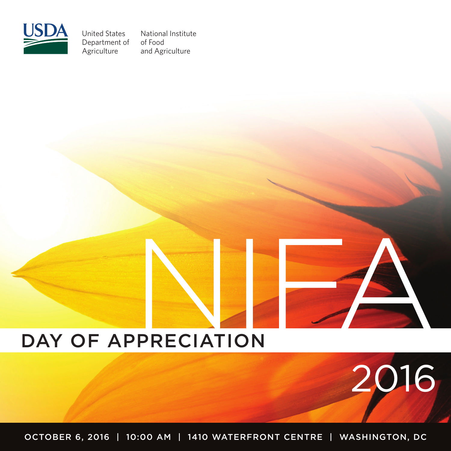

United States Department of Agriculture

National Institute of Food and Agriculture

# day of appreciation

october 6, 2016 | 10:00 am | 1410 waterfront centre | washington, DC

2016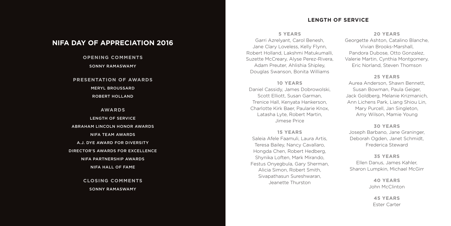# **NIFA Day of Appreciation 2016**

# **opening comments** Sonny Ramaswamy

# **presentation of awards**

meryl broussard

robert holland

# **awards** length of service Abraham lincoln honor awards nifa team awards a.J. dye award for diversity director's awards for excellence nifa partnership awards NIFA hall of Fame

# **closing comments** Sonny Ramaswamy

# **Length of Service**

#### **5 years**

Garri Azrelyant, Carol Benesh, Jane Clary Loveless, Kelly Flynn, Robert Holland, Lakshmi Matukumalli, Suzette McCreary, Alyse Perez-Rivera, Adam Preuter, Ahlishia Shipley, Douglas Swanson, Bonita Williams

#### **10 years**

Daniel Cassidy, James Dobrowolski, Scott Elliott, Susan Garman, Trenice Hall, Kenyata Hankerson, Charlotte Kirk Baer, Paularie Knox, Latasha Lyte, Robert Martin, Jimese Price

# **15 years** Saleia Afele Faamuli, Laura Artis, Teresa Bailey, Nancy Cavallaro, Hongda Chen, Robert Hedberg, Shynika Loften, Mark Mirando, Festus Onyegbula, Gary Sherman, Alicia Simon, Robert Smith, Sivapathasun Sureshwaran,

Jeanette Thurston

#### **20 years**

Georgette Ashton, Catalino Blanche, Vivian Brooks-Marshall, Pandora Dubose, Otto Gonzalez, Valerie Martin, Cynthia Montgomery, Eric Norland, Steven Thomson

#### **25 years**

Aurea Anderson, Shawn Bennett, Susan Bowman, Paula Geiger, Jack Goldberg, Melanie Krizmanich, Ann Lichens Park, Liang Shiou Lin, Mary Purcell, Jan Singleton, Amy Wilson, Mamie Young

#### **30 years**

Joseph Barbano, Jane Graninger, Deborah Ogden, Janet Schmidt, Frederica Steward

# **35 years** Ellen Danus, James Kahler, Sharon Lumpkin, Michael McGirr

**40 years** John McClinton

> **45 years** Ester Carter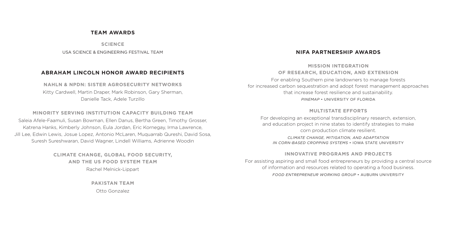## **Team Awards**

**science**

USA SCIENCE & ENGINEERING FESTIVAL TEAM

#### **Abraham Lincoln Honor Award Recipients**

**NAHLN & NPDN: SISTER AGROSECURITY NETWORKS** Kitty Cardwell, Martin Draper, Mark Robinson, Gary Sherman, Danielle Tack, Adele Turzillo

**MINORITY SERVING INSTITUTION CAPACITY BUILDING TEAM** Saleia Afele-Faamuli, Susan Bowman, Ellen Danus, Bertha Green, Timothy Grosser, Katrena Hanks, Kimberly Johnson, Eula Jordan, Eric Kornegay, Irma Lawrence, Jill Lee, Edwin Lewis, Josue Lopez, Antonio McLaren, Muquarrab Qureshi, David Sosa, Suresh Sureshwaran, David Wagner, Lindell Williams, Adrienne Woodin

> **CLIMATE CHANGE, GLOBAL FOOD SECURITY, AND THE US FOOD SYSTEM TEAM** Rachel Melnick-Lippart

> > **PAKISTAN TEAM** Otto Gonzalez

# **nifa Partnership Awards**

# **Mission Integration of research, education, and extension**

For enabling Southern pine landowners to manage forests for increased carbon sequestration and adopt forest management approaches that increase forest resilience and sustainability. *PINEMAP* • UNIVERSITY OF FLORIDA

## **Multistate Efforts**

For developing an exceptional transdisciplinary research, extension, and education project in nine states to identify strategies to make corn production climate resilient. *CLIMATE CHANGE, MITIGATION, AND ADAPTATION IN CORN-BASED CROPPING SYSTEMS* • IOWA STATE UNIVERSITY

#### **Innovative Programs and projects**

For assisting aspiring and small food entrepreneurs by providing a central source of information and resources related to operating a food business. *FOOD ENTREPRENEUR WORKING GROUP* • AUBURN UNIVERSITY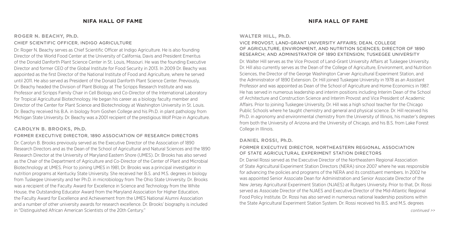# **ROGER N. BEACHY, Ph.D.**

#### CHIEF SCIENTIFIC OFFICER, INDIGO AGRICULTURE

Dr. Roger N. Beachy serves as Chief Scientific Officer at Indigo Agriculture. He is also founding Director of the World Food Center at the University of California, Davis and President Emeritus of the Donald Danforth Plant Science Center in St. Louis, Missouri. He was the founding Executive Director and former CEO of the Global Institute for Food Security in 2013. In 2009 Dr. Beachy was appointed as the first Director of the National Institute of Food and Agriculture, where he served until 2011. He also served as President of the Donald Danforth Plant Science Center. Previously, Dr. Beachy headed the Division of Plant Biology at The Scripps Research Institute and was Professor and Scripps Family Chair in Cell Biology and Co-Director of the International Laboratory for Tropical Agricultural Biotechnology. He began his career as a biology faculty member and Director of the Center for Plant Science and Biotechnology at Washington University in St. Louis. Dr. Beachy received his B.A. in biology from Goshen College and his Ph.D. in plant pathology from Michigan State University. Dr. Beachy was a 2001 recipient of the prestigious Wolf Prize in Agriculture.

# **CAROLYN B. BROOKS, Ph.D.**

## FORMER EXECUTIVE DIRECTOR, 1890 ASSOCIATION OF RESEARCH DIRECTORS

Dr. Carolyn B. Brooks previously served as the Executive Director of the Association of 1890 Research Directors and as the Dean of the School of Agricultural and Natural Sciences and the 1890 Research Director at the University of Maryland Eastern Shore (UMES). Dr. Brooks has also served as the Chair of the Department of Agriculture and Co-Director of the Center of Plant and Microbial Biotechnology at UMES. Prior to joining UMES in 1981, Dr. Brooks was a principal investigator in nutrition programs at Kentucky State University. She received her B.S. and M.S. degrees in biology from Tuskegee University and her Ph.D. in microbiology from The Ohio State University. Dr. Brooks was a recipient of the Faculty Award for Excellence in Science and Technology from the White House, the Outstanding Educator Award from the Maryland Association for Higher Education, the Faculty Award for Excellence and Achievement from the UMES National Alumni Association and a number of other university awards for research excellence. Dr. Brooks' biography is included in "Distinguished African American Scientists of the 20th Century."

# **nifa hall of fame nifa hall of fame**

#### **WALTER HILL, Ph.D.**

# VICE PROVOST, LAND-GRANT UNIVERSITY AFFAIRS; DEAN, COLLEGE OF AGRICULTURE, ENVIRONMENT, AND NUTRITION SCIENCES; DIRECTOR OF 1890 RESEARCH; AND ADMINISTRATOR OF 1890 EXTENSION; TUSKEGEE UNIVERSITY

Dr. Walter Hill serves as the Vice Provost of Land-Grant University Affairs at Tuskegee University. Dr. Hill also currently serves as the Dean of the College of Agriculture, Environment, and Nutrition Sciences, the Director of the George Washington Carver Agricultural Experiment Station, and the Administrator of 1890 Extension. Dr. Hill joined Tuskegee University in 1978 as an Assistant Professor and was appointed as Dean of the School of Agriculture and Home Economics in 1987. He has served in numerous leadership and interim positions including Interim Dean of the School of Architecture and Construction Science and Interim Provost and Vice President of Academic Affairs. Prior to joining Tuskegee University, Dr. Hill was a high school teacher for the Chicago Public Schools where he taught chemistry and general and physical science. Dr. Hill received his Ph.D. in agronomy and environmental chemistry from the University of Illinois, his master's degrees from both the University of Arizona and the University of Chicago, and his B.S. from Lake Forest College in Illinois.

## **DANIEL ROSSI, Ph.D.**

## FORMER EXECUTIVE DIRECTOR, NORTHEASTERN REGIONAL ASSOCIATION OF STATE AGRICULTURAL EXPERIMENT STATION DIRECTORS

Dr. Daniel Rossi served as the Executive Director of the Northeastern Regional Association of State Agricultural Experiment Station Directors (NERA) since 2007 where he was responsible for advancing the policies and programs of the NERA and its constituent members. In 2002 he was appointed Senior Associate Dean for Administration and Senior Associate Director of the New Jersey Agricultural Experiment Station (NJAES) at Rutgers University. Prior to that, Dr. Rossi served as Associate Director of the NJAES and Executive Director of the Mid-Atlantic Regional Food Policy Institute. Dr. Rossi has also served in numerous national leadership positions within the State Agricultural Experiment Station System. Dr. Rossi received his B.S. and M.S. degrees